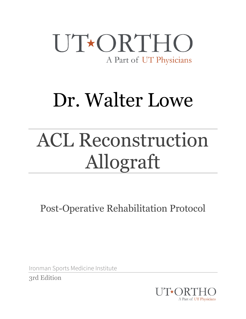### UT\*ORTHO A Part of UT Physicians

## Dr. Walter Lowe

# ACL Reconstruction Allograft

Post-Operative Rehabilitation Protocol

Ironman Sports Medicine Institute

3rd Edition

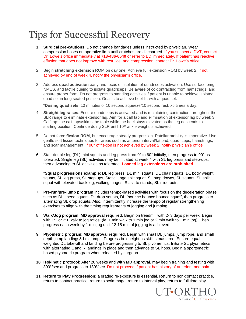### Tips for Successful Recovery

- 1. **Surgical pre-cautions**: Do not change bandages unless instructed by physician. Wear compression hoses on operative limb until crutches are discharged. If you suspect a DVT, contact Dr. Lowe's office immediately at **713-486-6540** or refer to ED immediately. If patient has reactive effusion that does not improve with rest, ice, and compression, contact Dr. Lowe's office.
- 2. Begin **stretching extension** ROM on day one. Achieve full extension ROM by week 2. If not achieved by end of week 4, notify the physician's office.
- 3. Address **quad activation** early and focus on isolation of quadriceps activation. Use surface emg, NMES, and tactile cueing to isolate quadriceps. Be aware of co-contracting from hamstrings, and ensure proper form. Do not progress to standing activities if patient is unable to achieve isolated quad set in long seated position. Goal is to achieve heel lift with a quad set.

\***Dosing quad sets**: 10 minutes of 10 second squeeze/10 second rest, x5 times a day.

- 4. **Straight leg raises**: Ensure quadriceps is activated and is maintaining contraction throughout the SLR range to eliminate extensor lag. Aim for a calf tap and elimination of extensor lag by week 3. Calf tap: the calf taps/skims the table while the heel stays elevated as the leg descends to starting position. Continue doing SLR until 10# ankle weight is achieved.
- 5. Do not force **flexion ROM**, but encourage steady progression. Patellar mobility is imperative. Use gentle soft tissue techniques for areas such as anterior interval/fat pad, quadriceps, hamstrings, and scar management. If 90° of flexion is not achieved by week 2, notify physician's office.
- 6. Start double leg (DL) mini squats and leg press from 0° to 60° initially, then progress to 90° as tolerated. Single leg (SL) activities may be initiated at week 4 with SL leg press and step-ups, then advancing to SL activities as tolerated. **Loaded leg extensions are prohibited**.

\***Squat progressions example**: DL leg press, DL mini squats, DL chair squats, DL body weight squats, SL leg press, SL step ups, Static lunge split squat, SL step downs, SL squats, SL split squat with elevated back leg, walking lunges, SL sit to stands, SL slide outs.

- 7. **Pre-run/pre-jump program** includes tempo-based activities with focus on the deceleration phase such as DL speed squats, DL drop squats, DL "bounce bounce bounce squat", then progress to alternating SL drop squats. Also, intermittently increase the tempo of regular strengthening exercises to align with the timing requirements of jogging and jumping.
- 8. **Walk/Jog program**: **MD approval required**. Begin on treadmill with 2- 3 days per week. Begin with 1:1 or 2:1 walk to jog ratios, (ie. 1 min walk to 1 min jog or 2 min walk to 1 min jog). Then progress each week by 1 min jog until 12-15 min of jogging is achieved.
- 9. **Plyometric program**: **MD approval required**. Begin with small DL jumps, jump rope, and small depth jump landings& box jumps. Progress box height as skill is mastered. Ensure equal weighted DL take-off and landing before progressing to SL plyometrics. Initiate SL plyometrics with alternating L and R landings in place and then advance to SL hops. Begin a sportsmetric based plyometric program when released by surgeon.
- 10. **Isokinetic protocol**: After 20 weeks and **with MD approval**, may begin training and testing with 300°/sec and progress to 180°/sec. Do not proceed if patient has history of anterior knee pain.
- 11. **Return to Play Progression:** a graded re-exposure is essential. Return to non-contact practice, return to contact practice, return to scrimmage, return to interval play, return to full time play.

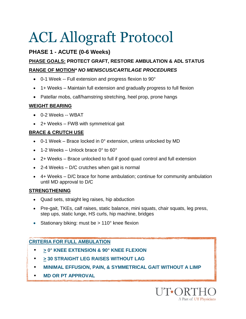#### **PHASE 1 - ACUTE (0-6 Weeks)**

#### **PHASE GOALS: PROTECT GRAFT, RESTORE AMBULATION & ADL STATUS RANGE OF MOTION***\* NO MENISCUS/CARTILAGE PROCEDURES*

- 0-1 Week -- Full extension and progress flexion to 90°
- 1+ Weeks Maintain full extension and gradually progress to full flexion
- Patellar mobs, calf/hamstring stretching, heel prop, prone hangs

#### **WEIGHT BEARING**

- 0-2 Weeks -- WBAT
- 2+ Weeks FWB with symmetrical gait

#### **BRACE & CRUTCH USE**

- $\bullet$  0-1 Week Brace locked in 0° extension, unless unlocked by MD
- 1-2 Weeks Unlock brace 0° to 60°
- 2+ Weeks Brace unlocked to full if good quad control and full extension
- $\bullet$  2-4 Weeks D/C crutches when gait is normal
- 4+ Weeks D/C brace for home ambulation; continue for community ambulation until MD approval to D/C

#### **STRENGTHENING**

- Quad sets, straight leg raises, hip abduction
- Pre-gait, TKEs, calf raises, static balance, mini squats, chair squats, leg press, step ups, static lunge, HS curls, hip machine, bridges
- Stationary biking: must be  $> 110^{\circ}$  knee flexion

#### **CRITERIA FOR FULL AMBULATION**

- • **> 0° KNEE EXTENSION & 90° KNEE FLEXION**
- **> 30 STRAIGHT LEG RAISES WITHOUT LAG**
- **MINIMAL EFFUSION, PAIN, & SYMMETRICAL GAIT WITHOUT A LIMP**
- • **MD OR PT APPROVAL**

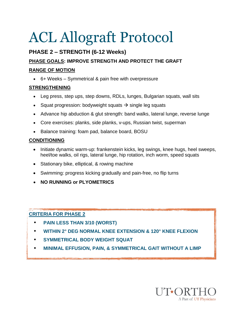#### **PHASE 2 – STRENGTH (6-12 Weeks)**

#### **PHASE GOALS: IMPROVE STRENGTH AND PROTECT THE GRAFT**

#### **RANGE OF MOTION**

6+ Weeks – Symmetrical & pain free with overpressure

#### **STRENGTHENING**

- Leg press, step ups, step downs, RDLs, lunges, Bulgarian squats, wall sits
- Squat progression: bodyweight squats  $\rightarrow$  single leg squats
- Advance hip abduction & glut strength: band walks, lateral lunge, reverse lunge
- Core exercises: planks, side planks, v-ups, Russian twist, superman
- Balance training: foam pad, balance board, BOSU

#### **CONDITIONING**

- Initiate dynamic warm-up: frankenstein kicks, leg swings, knee hugs, heel sweeps, heel/toe walks, oil rigs, lateral lunge, hip rotation, inch worm, speed squats
- Stationary bike, elliptical, & rowing machine
- Swimming: progress kicking gradually and pain-free, no flip turns
- **NO RUNNING or PLYOMETRICS**

#### **CRITERIA FOR PHASE 2**

- • **PAIN LESS THAN 3/10 (WORST)**
- • **WITHIN 2° DEG NORMAL KNEE EXTENSION & 120° KNEE FLEXION**
- **SYMMETRICAL BODY WEIGHT SQUAT**
- **MINIMAL EFFUSION, PAIN, & SYMMETRICAL GAIT WITHOUT A LIMP**

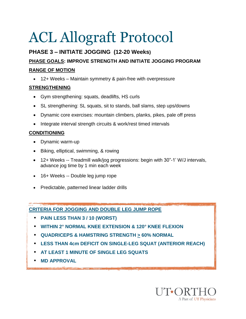#### **PHASE 3 – INITIATE JOGGING (12-20 Weeks) PHASE GOALS: IMPROVE STRENGTH AND INITIATE JOGGING PROGRAM RANGE OF MOTION**

12+ Weeks – Maintain symmetry & pain-free with overpressure

#### **STRENGTHENING**

- Gym strengthening: squats, deadlifts, HS curls
- SL strengthening: SL squats, sit to stands, ball slams, step ups/downs
- Dynamic core exercises: mountain climbers, planks, pikes, pale off press
- Integrate interval strength circuits & work/rest timed intervals

#### **CONDITIONING**

- Dynamic warm-up
- Biking, elliptical, swimming, & rowing
- 12+ Weeks -- Treadmill walk/jog progressions: begin with 30"-1' W/J intervals, advance jog time by 1 min each week
- 16+ Weeks -- Double leg jump rope
- Predictable, patterned linear ladder drills

#### **CRITERIA FOR JOGGING AND DOUBLE LEG JUMP ROPE**

- **PAIN LESS THAN 3 / 10 (WORST)**
- **WITHIN 2° NORMAL KNEE EXTENSION & 120° KNEE FLEXION**
- **QUADRICEPS & HAMSTRING STRENGTH > 60% NORMAL**
- **LESS THAN 4cm DEFICIT ON SINGLE-LEG SQUAT (ANTERIOR REACH)**
- **AT LEAST 1 MINUTE OF SINGLE LEG SQUATS**
- **MD APPROVAL**

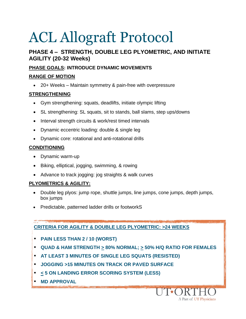#### **PHASE 4 – STRENGTH, DOUBLE LEG PLYOMETRIC, AND INITIATE AGILITY (20-32 Weeks)**

#### **PHASE GOALS: INTRODUCE DYNAMIC MOVEMENTS**

#### **RANGE OF MOTION**

20+ Weeks – Maintain symmetry & pain-free with overpressure

#### **STRENGTHENING**

- Gym strengthening: squats, deadlifts, initiate olympic lifting
- SL strengthening: SL squats, sit to stands, ball slams, step ups/downs
- Interval strength circuits & work/rest timed intervals
- Dynamic eccentric loading: double & single leg
- Dynamic core: rotational and anti-rotational drills

#### **CONDITIONING**

- Dynamic warm-up
- Biking, elliptical, jogging, swimming, & rowing
- Advance to track jogging: jog straights & walk curves

#### **PLYOMETRICS & AGILITY:**

- Double leg plyos: jump rope, shuttle jumps, line jumps, cone jumps, depth jumps, box jumps
- Predictable, patterned ladder drills or footworkS

#### **CRITERIA FOR AGILITY & DOUBLE LEG PLYOMETRIC: >24 WEEKS**

- **PAIN LESS THAN 2 / 10 (WORST)**
- **QUAD & HAM STRENGTH > 80% NORMAL; > 50% H/Q RATIO FOR FEMALES**

A Part of UT Physicians

- **AT LEAST 3 MINUTES OF SINGLE LEG SQUATS (RESISTED)**
- **JOGGING >15 MINUTES ON TRACK OR PAVED SURFACE**
- **< 5 ON LANDING ERROR SCORING SYSTEM (LESS)**
- **MD APPROVAL**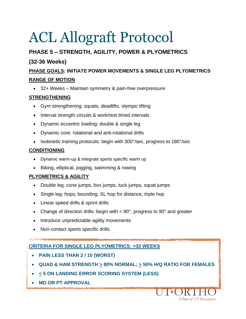#### **PHASE 5 – STRENGTH, AGILITY, POWER & PLYOMETRICS**

#### **(32-36 Weeks)**

#### **PHASE GOALS: INITIATE POWER MOVEMENTS & SINGLE LEG PLYOMETRICS RANGE OF MOTION**

32+ Weeks – Maintain symmetry & pain-free overpressure

#### **STRENGTHENING**

- Gym strengthening: squats, deadlifts, olympic lifting
- Interval strength circuits & work/rest timed intervals
- Dynamic eccentric loading: double & single leg
- Dynamic core: rotational and anti-rotational drills
- Isokinetic training protocols: begin with 300°/sec, progress to 180°/sec

#### **CONDITIONING**

- Dynamic warm-up & integrate sports specific warm up
- Biking, elliptical, jogging, swimming & rowing

#### **PLYOMETRICS & AGILITY**

- Double leg: cone jumps, box jumps, tuck jumps, squat jumps
- Single leg: hops, bounding, SL hop for distance, triple hop
- Linear speed drills & sprint drills
- Change of direction drills: begin with < 90°, progress to 90° and greater
- Introduce unpredictable agility movements
- Non-contact sports specific drills

#### **CRITERIA FOR SINGLE LEG PLYOMETRICS: >32 WEEKS**

- **PAIN LESS THAN 2 / 10 (WORST)**
- **QUAD & HAM STRENGTH > 80% NORMAL; > 50% H/Q RATIO FOR FEMALES**

A Part of UT Physicians

- **< 5 ON LANDING ERROR SCORING SYSTEM (LESS)**
- **MD OR PT APPROVAL**